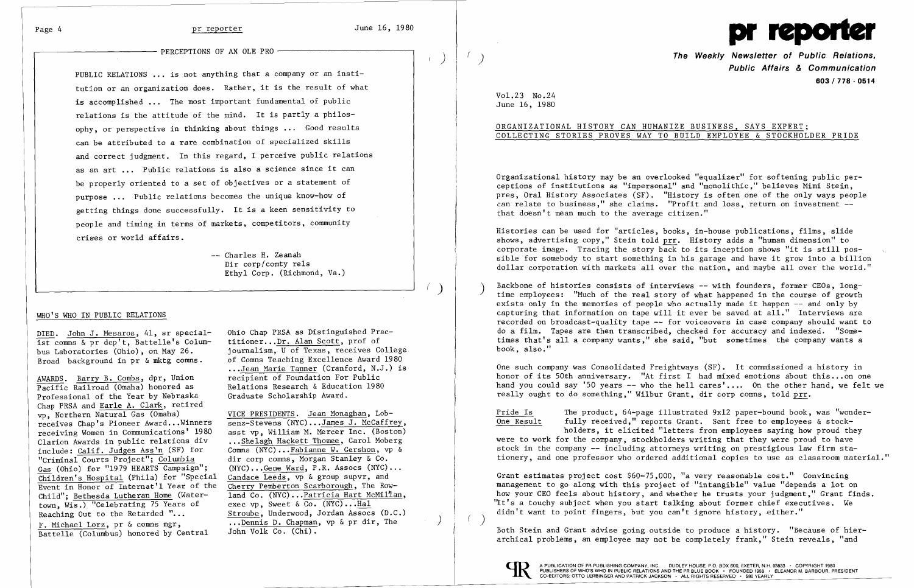PERCEPTIONS OF AN OLE PRO -



 $\left(\begin{array}{c} p\ p\end{array}\right)=\left(\begin{array}{c} p\ p\end{array}\right)$ **PUblic Affairs & Communication 603/778·0514**

Organizational history may be an overlooked "equalizer" for softening public per be properly oriented to a set of objectives or a statement of ceptions of institutions as "impersonal" and "monolithic," believes Mimi Stein, purpose ... Public relations becomes the unique know-how of **pres, oral History Associates (SF).** "History is often one of the only ways people purpose ... I we is a second of the can relate to business," she claims. "Profit and loss, return on investment --<br>getting things done successfully. It is a keen sensitivity to the average citizen."

COLLECTING STORIES PROVES WAY TO BUILD EMPLOYEE & STOCKHOLDER PRIDE

PUBLIC RELATIONS ... is not anything that a company or an institution or an organization does. Rather, it is the result of what is accomplished ... The most important fundamental of public relations is the attitude of the mind. It is partly a philosophy, or perspective in thinking about things ... Good results  $\vert$  brgGANIZATIONAL HISTORY CAN HUMANIZE BUSINESS, SAYS EXPERT; can be attributed to a rare combination of specialized skills and correct judgment. In this regard, I perceive public relations as an art ... Public relations is also a science since it can people and timing in terms of markets, competitors, community

Histories can be used for "articles, books, in-house publications, films, slide crises or world affairs.<br>shows, advertising copy," Stein told prr. History adds a "human dimension" to<br>corporate image. Tracing the story back to its inception shows "it is still poscorporate image. Tracing the story back to its inception shows "it is still pos-<br>Dir corp/comty rels<br>It is still possible for somebody to start something in his garage and have it grow into a billion Dir corp/comty rels<br>Ethyl Corp. (Richmond, Va.) **Ethyl Corp. (Richmond, Va.)** and world."

Backbone of histories consists of interviews -- with founders, former CEOs, long-<br>time employees: "Much of the real story of what happened in the course of growth DIED. John J. Mesaros, 41, sr special- Ohio Chap PRSA as Distinguished Prac-<br>Ist comns & pr dep't. Battelle's Colum- titioner...Dr. Alan Scott, prof of times that's all a company wants," she said, "but sometimes the compan on the same of the same of the company wants, and the company wants, and the company wants are company wants a<br>ist comms & pr dep't, Battelle's Colum-titioner...Dr. Alan Scott, prof of the company wants and a company wants

## WHO'S WHO IN PUBLIC RELATIONS

...Jean Marie Tanner (Cranford, N.J.) is **One such company was Consolidated Freightways (SF).** It commissioned a history in<br>
recipient of Foundation For Public his...on or AWARDS. Barry B. Combs, dpr, Union and recipient of Foundation For Public honor of its 50th anniversary. "At first I had mixed emotions about this...on one Pacific Railroad (Omaha) honored as Relations Research & Education Pacific Railroad (Omaha) honored as Belations Research & Education 1980 hand you could say '50 years -- who the hell cares'.... On the other hand, we felt we professional of the Year by Nebraska (Graduate Scholarship Award really ought to do something," Wilbur Grant, dir corp comns, told prr.

- The product, 64-page illustrated 9x12 paper-bound book, was "wonder- $\,$ One Result fully received," reports Grant. Sent free to employees & stock- $\overline{One}$  Result fully received," reports Grant. Sent free to employees & stock-<br>holders, it elicited "letters from employees saying how proud they were to work for the company, stockholders writing that they were proud to have stock in the company -- including attorneys writing on prestigious law firm stadir corp comms, Morgan Stanley & Co.<br>(NYC)...Gene Ward, P.R. Assocs (NYC)...<br>

Children's Hospital (Phila) for "Special Candace Leeds, vp & group supvr, and Crant estimates project cost \$60-75,000, "a very reasonable cost." Convincing Event in Honor of Internat'l Year of the Cherry Pemberton Scarborough, The Row-<br>Event in Honor of Internat'l Year of the Cherry Pemberton Scarborough, The Row-<br>
anagement to go along with this project of "intangible" value how your CEO feels about history, and whether he trusts your judgment," Grant finds. "The same who was seen about motory, and whether he crubts your judgment, stand is didn't want to point fingers, but you can't ignore history, either."

F. Michael Lorz, pr & Commis mgl., which we have the commission of the contract of the contract of the contract of hier-<br>Battelle (Columbus) honored by Central John Volk Co. (Chi). archical problems, an employee may not be completely frank," Stein reveals, "and



Chap PRSA and Earle A. Clark, retired vp, Northern Natural Gas (Omaha) VICE PRESIDENTS. Jean Monaghan, Lob-<br>receives Chap's Pioneer Award...Winners senz-Stevens (NYC)...James J. McCaffrey, receiving Women in Communications' 1980<br>Clarion Awards in public relations div Clarion Awards in public relations div ... Shelagh Hackett Thomee, Carol Moberg<br>include: Calif. Judges Ass'n (SF) for Comns (NYC)... Fabianne W. Gershon, vp & include: Calif. Judges Ass'n (SF) for Comns (NYC)... Fabianne W. Gershon, vp & "Criminal Courts Project"; Columbia dir corp comns, Morgan Stanley & Co. Gas (Ohio) for "1979 HEARTS Campaign";<br>Children's Hospital (Phila) for "Special town, Wis.) "Celebrating 75 Years of<br>Reaching Out to the Retarded "... F. Michael Lorz, pr & comns mgr, ... Dennis D. Chapman, vp & pr dir, The Battelle (Columbus) honored by Central John Volk Co. (Chi).

Ohio Chap PRSA as Distinguished Pracbus Laboratories (Ohio), on May 26. journalism, U of Texas, receives College book, also."<br>Broad background in pr & mktg comms. of Comms Teaching Excellence Award 1980 of Comns Teaching Excellence Award 1980<br>...Jean Marie Tanner (Cranford, N.J.) is

receives Chap's Pioneer Award...Winners senz-Stevens (NYC)...James J. McCaffrey,<br>receiving Women in Communications' 1980 asst vp. William M. Mercer Inc. (Boston) dir corp comms, Morgan Stanley & Co. Candace Leeds, vp & group supvr, and Cherry Pemberton Scarborough, The Row-Event in Honor of Internat'l Year of the Cherry Pemberton Scarborough, The Row-<br>Child"; <u>Bethesda Lutheran Home</u> (Water- land Co. (NYC)...Patricia Hart McMillan,<br>town. Wis.) "Celebrating 75 Years of exec vp. Sweet & Co. (N Stroube, Underwood, Jordan Assocs (D.C.) Vol.23 No.24<br>June 16, 1980

exists only in the memories of people who actually made it happen -- and only by capturing that information on tape will it ever be saved at all." Interviews are recorded on broadcast-quality tape -- for voiceovers in case company should want to